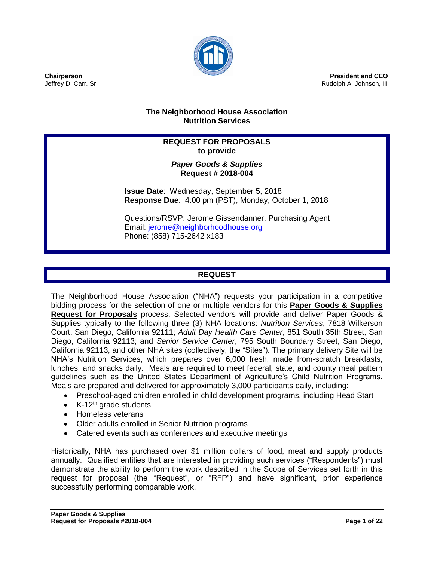

**President and CEO** Rudolph A. Johnson, III

# **The Neighborhood House Association Nutrition Services**

# **REQUEST FOR PROPOSALS to provide**

# *Paper Goods & Supplies* **Request # 2018-004**

**Issue Date**: Wednesday, September 5, 2018 **Response Due**: 4:00 pm (PST), Monday, October 1, 2018

Questions/RSVP: Jerome Gissendanner, Purchasing Agent Email: [jerome@neighborhoodhouse.org](mailto:jerome@neighborhoodhouse.org) Phone: (858) 715-2642 x183

# **REQUEST**

The Neighborhood House Association ("NHA") requests your participation in a competitive bidding process for the selection of one or multiple vendors for this **Paper Goods & Supplies Request for Proposals** process. Selected vendors will provide and deliver Paper Goods & Supplies typically to the following three (3) NHA locations: *Nutrition Services*, 7818 Wilkerson Court, San Diego, California 92111; *Adult Day Health Care Center*, 851 South 35th Street, San Diego, California 92113; and *Senior Service Center*, 795 South Boundary Street, San Diego, California 92113, and other NHA sites (collectively, the "Sites"). The primary delivery Site will be NHA's Nutrition Services, which prepares over 6,000 fresh, made from-scratch breakfasts, lunches, and snacks daily. Meals are required to meet federal, state, and county meal pattern guidelines such as the United States Department of Agriculture's Child Nutrition Programs. Meals are prepared and delivered for approximately 3,000 participants daily, including:

- Preschool-aged children enrolled in child development programs, including Head Start
- $\bullet$  K-12<sup>th</sup> grade students
- Homeless veterans
- Older adults enrolled in Senior Nutrition programs
- Catered events such as conferences and executive meetings

Historically, NHA has purchased over \$1 million dollars of food, meat and supply products annually. Qualified entities that are interested in providing such services ("Respondents") must demonstrate the ability to perform the work described in the Scope of Services set forth in this request for proposal (the "Request", or "RFP") and have significant, prior experience successfully performing comparable work.

**Chairperson** Jeffrey D. Carr. Sr.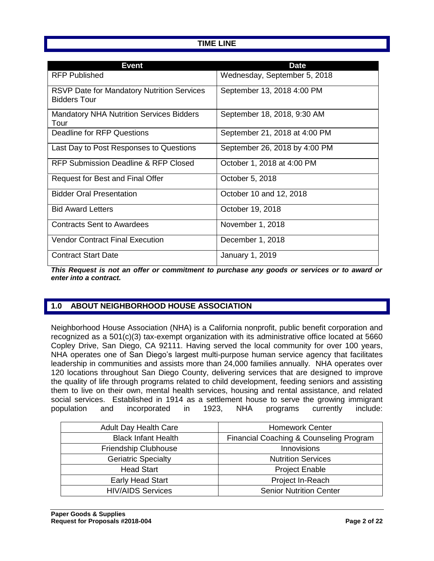# **TIME LINE**

| Event                                                                    | <b>Date</b>                   |
|--------------------------------------------------------------------------|-------------------------------|
| RFP Published                                                            | Wednesday, September 5, 2018  |
| <b>RSVP Date for Mandatory Nutrition Services</b><br><b>Bidders Tour</b> | September 13, 2018 4:00 PM    |
| <b>Mandatory NHA Nutrition Services Bidders</b><br>Tour                  | September 18, 2018, 9:30 AM   |
| Deadline for RFP Questions                                               | September 21, 2018 at 4:00 PM |
| Last Day to Post Responses to Questions                                  | September 26, 2018 by 4:00 PM |
| RFP Submission Deadline & RFP Closed                                     | October 1, 2018 at 4:00 PM    |
| Request for Best and Final Offer                                         | October 5, 2018               |
| <b>Bidder Oral Presentation</b>                                          | October 10 and 12, 2018       |
| <b>Bid Award Letters</b>                                                 | October 19, 2018              |
| <b>Contracts Sent to Awardees</b>                                        | November 1, 2018              |
| <b>Vendor Contract Final Execution</b>                                   | December 1, 2018              |
| <b>Contract Start Date</b>                                               | January 1, 2019               |

*This Request is not an offer or commitment to purchase any goods or services or to award or enter into a contract.*

# **1.0 ABOUT NEIGHBORHOOD HOUSE ASSOCIATION**

Neighborhood House Association (NHA) is a California nonprofit, public benefit corporation and recognized as a 501(c)(3) tax-exempt organization with its administrative office located at 5660 Copley Drive, San Diego, CA 92111. Having served the local community for over 100 years, NHA operates one of San Diego's largest multi-purpose human service agency that facilitates leadership in communities and assists more than 24,000 families annually. NHA operates over 120 locations throughout San Diego County, delivering services that are designed to improve the quality of life through programs related to child development, feeding seniors and assisting them to live on their own, mental health services, housing and rental assistance, and related social services. Established in 1914 as a settlement house to serve the growing immigrant population and incorporated in 1923, NHA programs currently include:

| <b>Adult Day Health Care</b> | <b>Homework Center</b>                  |  |
|------------------------------|-----------------------------------------|--|
| <b>Black Infant Health</b>   | Financial Coaching & Counseling Program |  |
| Friendship Clubhouse         | Innovisions                             |  |
| <b>Geriatric Specialty</b>   | <b>Nutrition Services</b>               |  |
| <b>Head Start</b>            | <b>Project Enable</b>                   |  |
| Early Head Start             | Project In-Reach                        |  |
| <b>HIV/AIDS Services</b>     | <b>Senior Nutrition Center</b>          |  |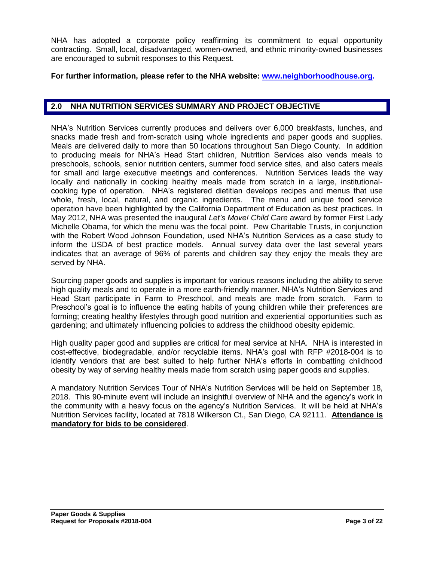NHA has adopted a corporate policy reaffirming its commitment to equal opportunity contracting. Small, local, disadvantaged, women-owned, and ethnic minority-owned businesses are encouraged to submit responses to this Request.

#### **For further information, please refer to the NHA website: [www.neighborhoodhouse.org.](http://www.neighborhoodhouse.org/)**

#### **2.0 NHA NUTRITION SERVICES SUMMARY AND PROJECT OBJECTIVE**

NHA's Nutrition Services currently produces and delivers over 6,000 breakfasts, lunches, and snacks made fresh and from-scratch using whole ingredients and paper goods and supplies. Meals are delivered daily to more than 50 locations throughout San Diego County. In addition to producing meals for NHA's Head Start children, Nutrition Services also vends meals to preschools, schools, senior nutrition centers, summer food service sites, and also caters meals for small and large executive meetings and conferences. Nutrition Services leads the way locally and nationally in cooking healthy meals made from scratch in a large, institutionalcooking type of operation. NHA's registered dietitian develops recipes and menus that use whole, fresh, local, natural, and organic ingredients. The menu and unique food service operation have been highlighted by the California Department of Education as best practices. In May 2012, NHA was presented the inaugural *Let's Move! Child Care* award by former First Lady Michelle Obama, for which the menu was the focal point. Pew Charitable Trusts, in conjunction with the Robert Wood Johnson Foundation, used NHA's Nutrition Services as a case study to inform the USDA of best practice models. Annual survey data over the last several years indicates that an average of 96% of parents and children say they enjoy the meals they are served by NHA.

Sourcing paper goods and supplies is important for various reasons including the ability to serve high quality meals and to operate in a more earth-friendly manner. NHA's Nutrition Services and Head Start participate in Farm to Preschool, and meals are made from scratch. Farm to Preschool's goal is to influence the eating habits of young children while their preferences are forming; creating healthy lifestyles through good nutrition and experiential opportunities such as gardening; and ultimately influencing policies to address the childhood obesity epidemic.

High quality paper good and supplies are critical for meal service at NHA. NHA is interested in cost-effective, biodegradable, and/or recyclable items. NHA's goal with RFP #2018-004 is to identify vendors that are best suited to help further NHA's efforts in combatting childhood obesity by way of serving healthy meals made from scratch using paper goods and supplies.

A mandatory Nutrition Services Tour of NHA's Nutrition Services will be held on September 18, 2018. This 90-minute event will include an insightful overview of NHA and the agency's work in the community with a heavy focus on the agency's Nutrition Services. It will be held at NHA's Nutrition Services facility, located at 7818 Wilkerson Ct., San Diego, CA 92111. **Attendance is mandatory for bids to be considered**.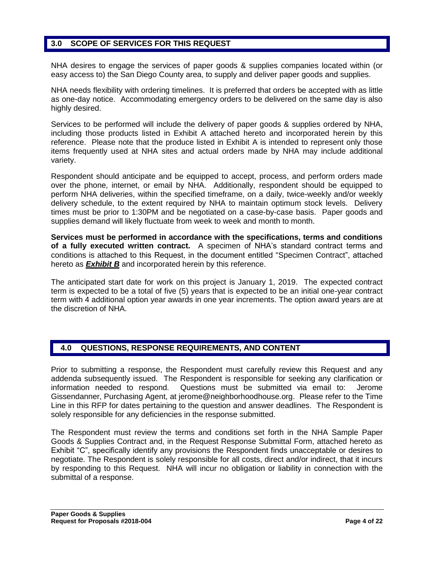# **3.0 SCOPE OF SERVICES FOR THIS REQUEST**

NHA desires to engage the services of paper goods & supplies companies located within (or easy access to) the San Diego County area, to supply and deliver paper goods and supplies.

NHA needs flexibility with ordering timelines. It is preferred that orders be accepted with as little as one-day notice. Accommodating emergency orders to be delivered on the same day is also highly desired.

Services to be performed will include the delivery of paper goods & supplies ordered by NHA, including those products listed in Exhibit A attached hereto and incorporated herein by this reference. Please note that the produce listed in Exhibit A is intended to represent only those items frequently used at NHA sites and actual orders made by NHA may include additional variety.

Respondent should anticipate and be equipped to accept, process, and perform orders made over the phone, internet, or email by NHA. Additionally, respondent should be equipped to perform NHA deliveries, within the specified timeframe, on a daily, twice-weekly and/or weekly delivery schedule, to the extent required by NHA to maintain optimum stock levels. Delivery times must be prior to 1:30PM and be negotiated on a case-by-case basis. Paper goods and supplies demand will likely fluctuate from week to week and month to month.

**Services must be performed in accordance with the specifications, terms and conditions of a fully executed written contract.** A specimen of NHA's standard contract terms and conditions is attached to this Request, in the document entitled "Specimen Contract", attached hereto as *Exhibit B* and incorporated herein by this reference.

The anticipated start date for work on this project is January 1, 2019. The expected contract term is expected to be a total of five (5) years that is expected to be an initial one-year contract term with 4 additional option year awards in one year increments. The option award years are at the discretion of NHA.

### **4.0 QUESTIONS, RESPONSE REQUIREMENTS, AND CONTENT**

Prior to submitting a response, the Respondent must carefully review this Request and any addenda subsequently issued. The Respondent is responsible for seeking any clarification or information needed to respond. Questions must be submitted via email to: Jerome Gissendanner, Purchasing Agent, at [jerome@neighborhoodhouse.org.](mailto:jerome@neighborhoodhouse.org) Please refer to the Time Line in this RFP for dates pertaining to the question and answer deadlines. The Respondent is solely responsible for any deficiencies in the response submitted.

The Respondent must review the terms and conditions set forth in the NHA Sample Paper Goods & Supplies Contract and, in the Request Response Submittal Form, attached hereto as Exhibit "C", specifically identify any provisions the Respondent finds unacceptable or desires to negotiate. The Respondent is solely responsible for all costs, direct and/or indirect, that it incurs by responding to this Request. NHA will incur no obligation or liability in connection with the submittal of a response.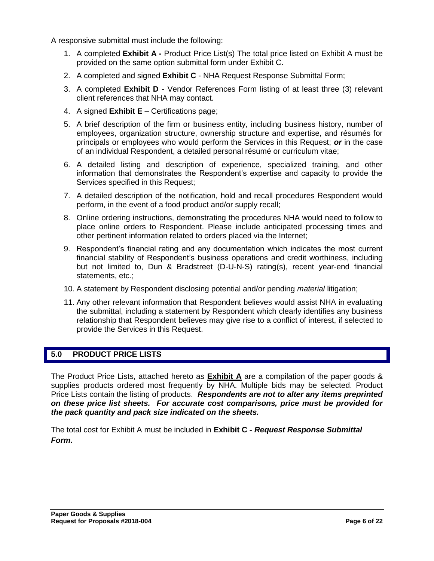A responsive submittal must include the following:

- 1. A completed **Exhibit A -** Product Price List(s) The total price listed on Exhibit A must be provided on the same option submittal form under Exhibit C.
- 2. A completed and signed **Exhibit C** NHA Request Response Submittal Form;
- 3. A completed **Exhibit D** Vendor References Form listing of at least three (3) relevant client references that NHA may contact.
- 4. A signed **Exhibit E** Certifications page;
- 5. A brief description of the firm or business entity, including business history, number of employees, organization structure, ownership structure and expertise, and résumés for principals or employees who would perform the Services in this Request; *or* in the case of an individual Respondent, a detailed personal résumé or curriculum vitae;
- 6. A detailed listing and description of experience, specialized training, and other information that demonstrates the Respondent's expertise and capacity to provide the Services specified in this Request;
- 7. A detailed description of the notification, hold and recall procedures Respondent would perform, in the event of a food product and/or supply recall;
- 8. Online ordering instructions, demonstrating the procedures NHA would need to follow to place online orders to Respondent. Please include anticipated processing times and other pertinent information related to orders placed via the Internet;
- 9. Respondent's financial rating and any documentation which indicates the most current financial stability of Respondent's business operations and credit worthiness, including but not limited to, Dun & Bradstreet (D-U-N-S) rating(s), recent year-end financial statements, etc.;
- 10. A statement by Respondent disclosing potential and/or pending *material* litigation;
- 11. Any other relevant information that Respondent believes would assist NHA in evaluating the submittal, including a statement by Respondent which clearly identifies any business relationship that Respondent believes may give rise to a conflict of interest, if selected to provide the Services in this Request.

# **5.0 PRODUCT PRICE LISTS**

The Product Price Lists, attached hereto as **Exhibit A** are a compilation of the paper goods & supplies products ordered most frequently by NHA. Multiple bids may be selected. Product Price Lists contain the listing of products. *Respondents are not to alter any items preprinted on these price list sheets. For accurate cost comparisons, price must be provided for the pack quantity and pack size indicated on the sheets.*

The total cost for Exhibit A must be included in **Exhibit C -** *Request Response Submittal Form.*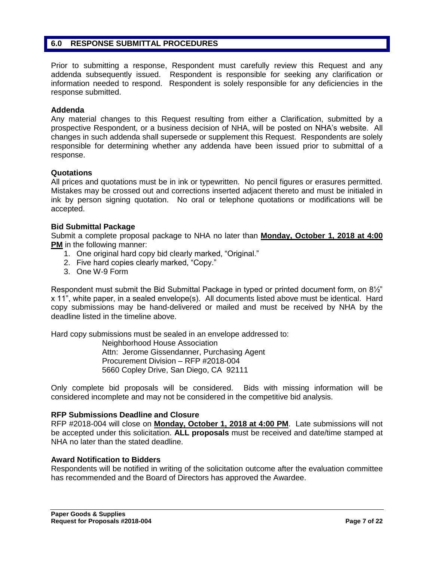#### **6.0 RESPONSE SUBMITTAL PROCEDURES**

Prior to submitting a response, Respondent must carefully review this Request and any addenda subsequently issued. Respondent is responsible for seeking any clarification or information needed to respond. Respondent is solely responsible for any deficiencies in the response submitted.

#### **Addenda**

Any material changes to this Request resulting from either a Clarification, submitted by a prospective Respondent, or a business decision of NHA, will be posted on NHA's website. All changes in such addenda shall supersede or supplement this Request. Respondents are solely responsible for determining whether any addenda have been issued prior to submittal of a response.

#### **Quotations**

All prices and quotations must be in ink or typewritten. No pencil figures or erasures permitted. Mistakes may be crossed out and corrections inserted adjacent thereto and must be initialed in ink by person signing quotation. No oral or telephone quotations or modifications will be accepted.

#### **Bid Submittal Package**

Submit a complete proposal package to NHA no later than **Monday, October 1, 2018 at 4:00 PM** in the following manner:

- 1. One original hard copy bid clearly marked, "Original."
- 2. Five hard copies clearly marked, "Copy."
- 3. One W-9 Form

Respondent must submit the Bid Submittal Package in typed or printed document form, on 8½" x 11", white paper, in a sealed envelope(s). All documents listed above must be identical. Hard copy submissions may be hand-delivered or mailed and must be received by NHA by the deadline listed in the timeline above.

Hard copy submissions must be sealed in an envelope addressed to:

Neighborhood House Association Attn: Jerome Gissendanner, Purchasing Agent Procurement Division – RFP #2018-004 5660 Copley Drive, San Diego, CA 92111

Only complete bid proposals will be considered. Bids with missing information will be considered incomplete and may not be considered in the competitive bid analysis.

#### **RFP Submissions Deadline and Closure**

RFP #2018-004 will close on **Monday, October 1, 2018 at 4:00 PM**. Late submissions will not be accepted under this solicitation. **ALL proposals** must be received and date/time stamped at NHA no later than the stated deadline.

#### **Award Notification to Bidders**

Respondents will be notified in writing of the solicitation outcome after the evaluation committee has recommended and the Board of Directors has approved the Awardee.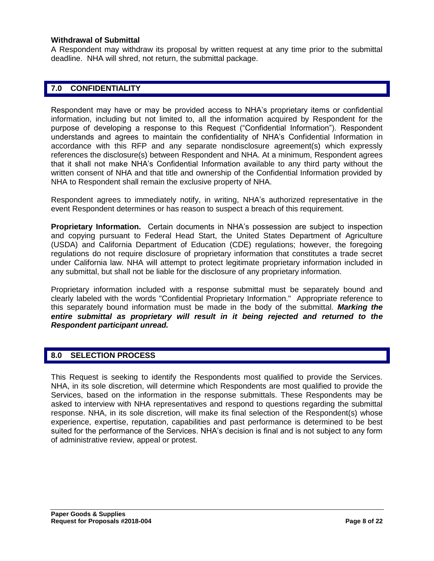#### **Withdrawal of Submittal**

A Respondent may withdraw its proposal by written request at any time prior to the submittal deadline. NHA will shred, not return, the submittal package.

### **7.0 CONFIDENTIALITY**

Respondent may have or may be provided access to NHA's proprietary items or confidential information, including but not limited to, all the information acquired by Respondent for the purpose of developing a response to this Request ("Confidential Information"). Respondent understands and agrees to maintain the confidentiality of NHA's Confidential Information in accordance with this RFP and any separate nondisclosure agreement(s) which expressly references the disclosure(s) between Respondent and NHA. At a minimum, Respondent agrees that it shall not make NHA's Confidential Information available to any third party without the written consent of NHA and that title and ownership of the Confidential Information provided by NHA to Respondent shall remain the exclusive property of NHA.

Respondent agrees to immediately notify, in writing, NHA's authorized representative in the event Respondent determines or has reason to suspect a breach of this requirement.

**Proprietary Information.** Certain documents in NHA's possession are subject to inspection and copying pursuant to Federal Head Start, the United States Department of Agriculture (USDA) and California Department of Education (CDE) regulations; however, the foregoing regulations do not require disclosure of proprietary information that constitutes a trade secret under California law. NHA will attempt to protect legitimate proprietary information included in any submittal, but shall not be liable for the disclosure of any proprietary information.

Proprietary information included with a response submittal must be separately bound and clearly labeled with the words "Confidential Proprietary Information." Appropriate reference to this separately bound information must be made in the body of the submittal. *Marking the*  entire submittal as proprietary will result in it being rejected and returned to the *Respondent participant unread.*

### **8.0 SELECTION PROCESS**

This Request is seeking to identify the Respondents most qualified to provide the Services. NHA, in its sole discretion, will determine which Respondents are most qualified to provide the Services, based on the information in the response submittals. These Respondents may be asked to interview with NHA representatives and respond to questions regarding the submittal response. NHA, in its sole discretion, will make its final selection of the Respondent(s) whose experience, expertise, reputation, capabilities and past performance is determined to be best suited for the performance of the Services. NHA's decision is final and is not subject to any form of administrative review, appeal or protest.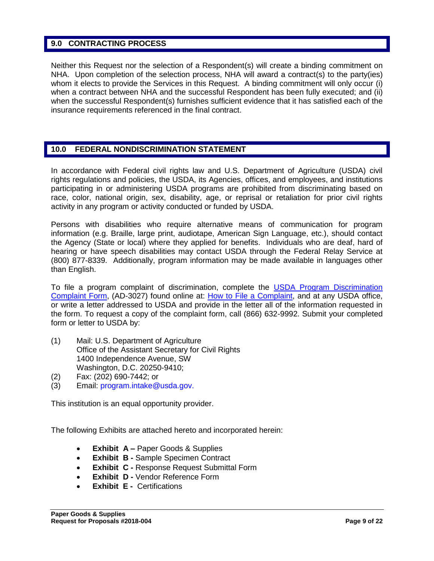#### **9.0 CONTRACTING PROCESS**

Neither this Request nor the selection of a Respondent(s) will create a binding commitment on NHA. Upon completion of the selection process, NHA will award a contract(s) to the party(ies) whom it elects to provide the Services in this Request. A binding commitment will only occur (i) when a contract between NHA and the successful Respondent has been fully executed; and (ii) when the successful Respondent(s) furnishes sufficient evidence that it has satisfied each of the insurance requirements referenced in the final contract.

# **10.0 FEDERAL NONDISCRIMINATION STATEMENT**

In accordance with Federal civil rights law and U.S. Department of Agriculture (USDA) civil rights regulations and policies, the USDA, its Agencies, offices, and employees, and institutions participating in or administering USDA programs are prohibited from discriminating based on race, color, national origin, sex, disability, age, or reprisal or retaliation for prior civil rights activity in any program or activity conducted or funded by USDA.

Persons with disabilities who require alternative means of communication for program information (e.g. Braille, large print, audiotape, American Sign Language, etc.), should contact the Agency (State or local) where they applied for benefits. Individuals who are deaf, hard of hearing or have speech disabilities may contact USDA through the Federal Relay Service at (800) 877-8339. Additionally, program information may be made available in languages other than English.

To file a program complaint of discrimination, complete the [USDA Program Discrimination](http://www.ocio.usda.gov/sites/default/files/docs/2012/Complain_combined_6_8_12.pdf)  [Complaint Form,](http://www.ocio.usda.gov/sites/default/files/docs/2012/Complain_combined_6_8_12.pdf) (AD-3027) found online at: [How to File a Complaint,](http://www.ascr.usda.gov/complaint_filing_cust.html) and at any USDA office, or write a letter addressed to USDA and provide in the letter all of the information requested in the form. To request a copy of the complaint form, call (866) 632-9992. Submit your completed form or letter to USDA by:

- (1) Mail: U.S. Department of Agriculture Office of the Assistant Secretary for Civil Rights 1400 Independence Avenue, SW Washington, D.C. 20250-9410;
- (2) Fax: (202) 690-7442; or
- (3) Email: program.intake@usda.gov.

This institution is an equal opportunity provider.

The following Exhibits are attached hereto and incorporated herein:

- **Exhibit A –** Paper Goods & Supplies
- **Exhibit B -** Sample Specimen Contract
- **Exhibit C -** Response Request Submittal Form
- **Exhibit D Vendor Reference Form**
- **Exhibit E -** Certifications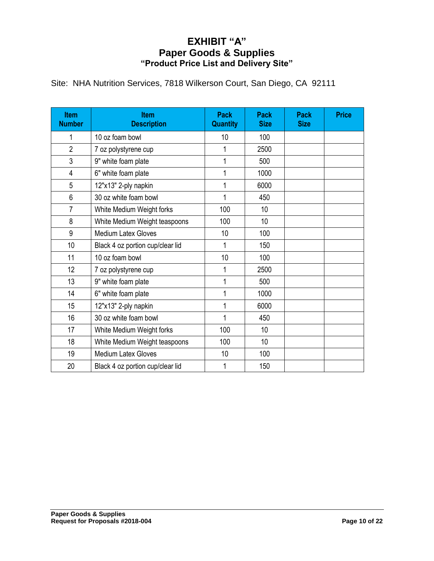# **EXHIBIT "A" Paper Goods & Supplies "Product Price List and Delivery Site"**

|  |  |  | Site: NHA Nutrition Services, 7818 Wilkerson Court, San Diego, CA 92111 |  |  |  |  |
|--|--|--|-------------------------------------------------------------------------|--|--|--|--|
|--|--|--|-------------------------------------------------------------------------|--|--|--|--|

| <b>Item</b><br><b>Number</b> | <b>Item</b><br><b>Description</b> | <b>Pack</b><br><b>Quantity</b> | Pack<br><b>Size</b> | <b>Pack</b><br><b>Size</b> | <b>Price</b> |
|------------------------------|-----------------------------------|--------------------------------|---------------------|----------------------------|--------------|
| 1                            | 10 oz foam bowl                   | 10                             | 100                 |                            |              |
| $\overline{2}$               | 7 oz polystyrene cup              | 1                              | 2500                |                            |              |
| 3                            | 9" white foam plate               | 1                              | 500                 |                            |              |
| 4                            | 6" white foam plate               | 1                              | 1000                |                            |              |
| 5                            | 12"x13" 2-ply napkin              | 1                              | 6000                |                            |              |
| 6                            | 30 oz white foam bowl             | 1                              | 450                 |                            |              |
| $\overline{7}$               | White Medium Weight forks         | 100                            | 10                  |                            |              |
| 8                            | White Medium Weight teaspoons     | 100                            | 10                  |                            |              |
| 9                            | <b>Medium Latex Gloves</b>        | 10                             | 100                 |                            |              |
| 10                           | Black 4 oz portion cup/clear lid  | 1                              | 150                 |                            |              |
| 11                           | 10 oz foam bowl                   | 10                             | 100                 |                            |              |
| 12                           | 7 oz polystyrene cup              | 1                              | 2500                |                            |              |
| 13                           | 9" white foam plate               | 1                              | 500                 |                            |              |
| 14                           | 6" white foam plate               | 1                              | 1000                |                            |              |
| 15                           | 12"x13" 2-ply napkin              | 1                              | 6000                |                            |              |
| 16                           | 30 oz white foam bowl             | 1                              | 450                 |                            |              |
| 17                           | White Medium Weight forks         | 100                            | 10                  |                            |              |
| 18                           | White Medium Weight teaspoons     | 100                            | 10                  |                            |              |
| 19                           | <b>Medium Latex Gloves</b>        | 10                             | 100                 |                            |              |
| 20                           | Black 4 oz portion cup/clear lid  | 1                              | 150                 |                            |              |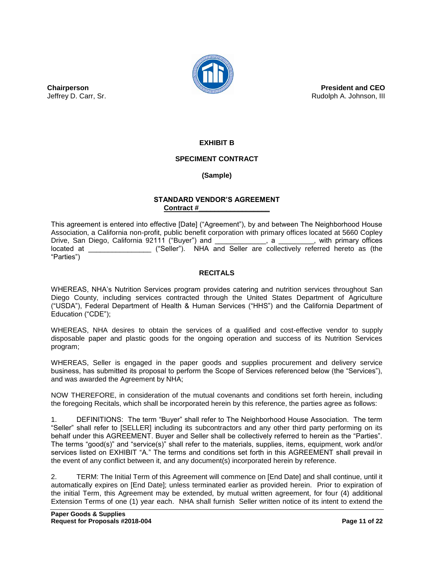

**President and CEO** Rudolph A. Johnson, III

**EXHIBIT B**

### **SPECIMENT CONTRACT**

# **(Sample)**

#### **STANDARD VENDOR'S AGREEMENT Contract #\_\_\_\_\_\_\_\_\_\_\_\_\_\_\_\_\_\_**

This agreement is entered into effective [Date] ("Agreement"), by and between The Neighborhood House Association, a California non-profit, public benefit corporation with primary offices located at 5660 Copley Drive, San Diego, California 92111 ("Buyer") and \_\_\_\_\_\_\_\_\_\_\_\_\_, a \_\_\_\_\_\_\_\_\_, with primary offices located at \_\_\_\_\_\_\_\_\_\_\_\_\_\_\_\_ ("Seller"). NHA and Seller are collectively referred hereto as (the "Parties")

#### **RECITALS**

WHEREAS, NHA's Nutrition Services program provides catering and nutrition services throughout San Diego County, including services contracted through the United States Department of Agriculture ("USDA"), Federal Department of Health & Human Services ("HHS") and the California Department of Education ("CDE");

WHEREAS, NHA desires to obtain the services of a qualified and cost-effective vendor to supply disposable paper and plastic goods for the ongoing operation and success of its Nutrition Services program;

WHEREAS, Seller is engaged in the paper goods and supplies procurement and delivery service business, has submitted its proposal to perform the Scope of Services referenced below (the "Services"), and was awarded the Agreement by NHA;

NOW THEREFORE, in consideration of the mutual covenants and conditions set forth herein, including the foregoing Recitals, which shall be incorporated herein by this reference, the parties agree as follows:

1. DEFINITIONS: The term "Buyer" shall refer to The Neighborhood House Association. The term "Seller" shall refer to [SELLER] including its subcontractors and any other third party performing on its behalf under this AGREEMENT. Buyer and Seller shall be collectively referred to herein as the "Parties". The terms "good(s)" and "service(s)" shall refer to the materials, supplies, items, equipment, work and/or services listed on EXHIBIT "A." The terms and conditions set forth in this AGREEMENT shall prevail in the event of any conflict between it, and any document(s) incorporated herein by reference.

2. TERM: The Initial Term of this Agreement will commence on [End Date] and shall continue, until it automatically expires on [End Date]; unless terminated earlier as provided herein. Prior to expiration of the initial Term, this Agreement may be extended, by mutual written agreement, for four (4) additional Extension Terms of one (1) year each. NHA shall furnish Seller written notice of its intent to extend the

**Chairperson** Jeffrey D. Carr, Sr.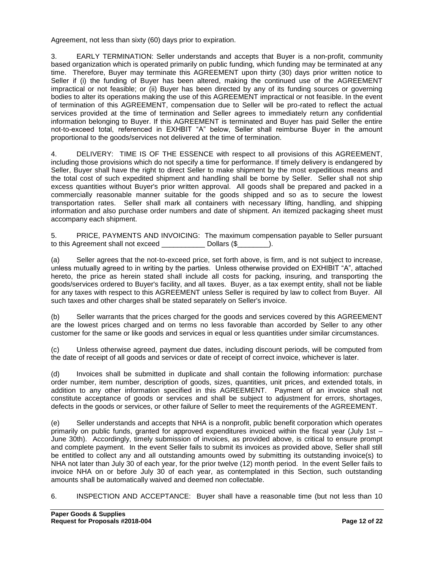Agreement, not less than sixty (60) days prior to expiration.

3. EARLY TERMINATION: Seller understands and accepts that Buyer is a non-profit, community based organization which is operated primarily on public funding, which funding may be terminated at any time. Therefore, Buyer may terminate this AGREEMENT upon thirty (30) days prior written notice to Seller if (i) the funding of Buyer has been altered, making the continued use of the AGREEMENT impractical or not feasible; or (ii) Buyer has been directed by any of its funding sources or governing bodies to alter its operations making the use of this AGREEMENT impractical or not feasible. In the event of termination of this AGREEMENT, compensation due to Seller will be pro-rated to reflect the actual services provided at the time of termination and Seller agrees to immediately return any confidential information belonging to Buyer. If this AGREEMENT is terminated and Buyer has paid Seller the entire not-to-exceed total, referenced in EXHBIT "A" below, Seller shall reimburse Buyer in the amount proportional to the goods/services not delivered at the time of termination.

4. DELIVERY: TIME IS OF THE ESSENCE with respect to all provisions of this AGREEMENT, including those provisions which do not specify a time for performance. If timely delivery is endangered by Seller, Buyer shall have the right to direct Seller to make shipment by the most expeditious means and the total cost of such expedited shipment and handling shall be borne by Seller. Seller shall not ship excess quantities without Buyer's prior written approval. All goods shall be prepared and packed in a commercially reasonable manner suitable for the goods shipped and so as to secure the lowest transportation rates. Seller shall mark all containers with necessary lifting, handling, and shipping information and also purchase order numbers and date of shipment. An itemized packaging sheet must accompany each shipment.

5. PRICE, PAYMENTS AND INVOICING: The maximum compensation payable to Seller pursuant to this Agreement shall not exceed Dollars (\$  $\Box$ ).

(a) Seller agrees that the not-to-exceed price, set forth above, is firm, and is not subject to increase, unless mutually agreed to in writing by the parties. Unless otherwise provided on EXHIBIT "A", attached hereto, the price as herein stated shall include all costs for packing, insuring, and transporting the goods/services ordered to Buyer's facility, and all taxes. Buyer, as a tax exempt entity, shall not be liable for any taxes with respect to this AGREEMENT unless Seller is required by law to collect from Buyer. All such taxes and other charges shall be stated separately on Seller's invoice.

(b) Seller warrants that the prices charged for the goods and services covered by this AGREEMENT are the lowest prices charged and on terms no less favorable than accorded by Seller to any other customer for the same or like goods and services in equal or less quantities under similar circumstances.

(c) Unless otherwise agreed, payment due dates, including discount periods, will be computed from the date of receipt of all goods and services or date of receipt of correct invoice, whichever is later.

(d) Invoices shall be submitted in duplicate and shall contain the following information: purchase order number, item number, description of goods, sizes, quantities, unit prices, and extended totals, in addition to any other information specified in this AGREEMENT. Payment of an invoice shall not constitute acceptance of goods or services and shall be subject to adjustment for errors, shortages, defects in the goods or services, or other failure of Seller to meet the requirements of the AGREEMENT.

(e) Seller understands and accepts that NHA is a nonprofit, public benefit corporation which operates primarily on public funds, granted for approved expenditures invoiced within the fiscal year (July 1st – June 30th). Accordingly, timely submission of invoices, as provided above, is critical to ensure prompt and complete payment. In the event Seller fails to submit its invoices as provided above, Seller shall still be entitled to collect any and all outstanding amounts owed by submitting its outstanding invoice(s) to NHA not later than July 30 of each year, for the prior twelve (12) month period. In the event Seller fails to invoice NHA on or before July 30 of each year, as contemplated in this Section, such outstanding amounts shall be automatically waived and deemed non collectable.

6. INSPECTION AND ACCEPTANCE: Buyer shall have a reasonable time (but not less than 10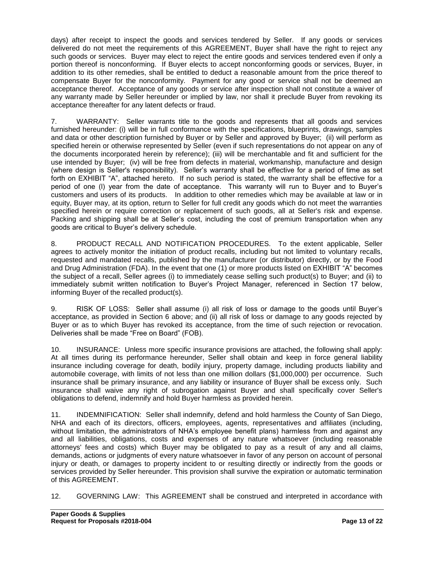days) after receipt to inspect the goods and services tendered by Seller. If any goods or services delivered do not meet the requirements of this AGREEMENT, Buyer shall have the right to reject any such goods or services. Buyer may elect to reject the entire goods and services tendered even if only a portion thereof is nonconforming. If Buyer elects to accept nonconforming goods or services, Buyer, in addition to its other remedies, shall be entitled to deduct a reasonable amount from the price thereof to compensate Buyer for the nonconformity. Payment for any good or service shall not be deemed an acceptance thereof. Acceptance of any goods or service after inspection shall not constitute a waiver of any warranty made by Seller hereunder or implied by law, nor shall it preclude Buyer from revoking its acceptance thereafter for any latent defects or fraud.

7. WARRANTY: Seller warrants title to the goods and represents that all goods and services furnished hereunder: (i) will be in full conformance with the specifications, blueprints, drawings, samples and data or other description furnished by Buyer or by Seller and approved by Buyer; (ii) will perform as specified herein or otherwise represented by Seller (even if such representations do not appear on any of the documents incorporated herein by reference); (iii) will be merchantable and fit and sufficient for the use intended by Buyer; (iv) will be free from defects in material, workmanship, manufacture and design (where design is Seller's responsibility). Seller's warranty shall be effective for a period of time as set forth on EXHIBIT "A", attached hereto. If no such period is stated, the warranty shall be effective for a period of one (l) year from the date of acceptance. This warranty will run to Buyer and to Buyer's customers and users of its products. In addition to other remedies which may be available at law or in equity, Buyer may, at its option, return to Seller for full credit any goods which do not meet the warranties specified herein or require correction or replacement of such goods, all at Seller's risk and expense. Packing and shipping shall be at Seller's cost, including the cost of premium transportation when any goods are critical to Buyer's delivery schedule.

8. PRODUCT RECALL AND NOTIFICATION PROCEDURES. To the extent applicable, Seller agrees to actively monitor the initiation of product recalls, including but not limited to voluntary recalls, requested and mandated recalls, published by the manufacturer (or distributor) directly, or by the Food and Drug Administration (FDA). In the event that one (1) or more products listed on EXHIBIT "A" becomes the subject of a recall, Seller agrees (i) to immediately cease selling such product(s) to Buyer; and (ii) to immediately submit written notification to Buyer's Project Manager, referenced in Section 17 below, informing Buyer of the recalled product(s).

9. RISK OF LOSS: Seller shall assume (i) all risk of loss or damage to the goods until Buyer's acceptance, as provided in Section 6 above; and (ii) all risk of loss or damage to any goods rejected by Buyer or as to which Buyer has revoked its acceptance, from the time of such rejection or revocation. Deliveries shall be made "Free on Board" (FOB).

10. INSURANCE: Unless more specific insurance provisions are attached, the following shall apply: At all times during its performance hereunder, Seller shall obtain and keep in force general liability insurance including coverage for death, bodily injury, property damage, including products liability and automobile coverage, with limits of not less than one million dollars (\$1,000,000) per occurrence. Such insurance shall be primary insurance, and any liability or insurance of Buyer shall be excess only. Such insurance shall waive any right of subrogation against Buyer and shall specifically cover Seller's obligations to defend, indemnify and hold Buyer harmless as provided herein.

11. INDEMNIFICATION: Seller shall indemnify, defend and hold harmless the County of San Diego, NHA and each of its directors, officers, employees, agents, representatives and affiliates (including, without limitation, the administrators of NHA's employee benefit plans) harmless from and against any and all liabilities, obligations, costs and expenses of any nature whatsoever (including reasonable attorneys' fees and costs) which Buyer may be obligated to pay as a result of any and all claims, demands, actions or judgments of every nature whatsoever in favor of any person on account of personal injury or death, or damages to property incident to or resulting directly or indirectly from the goods or services provided by Seller hereunder. This provision shall survive the expiration or automatic termination of this AGREEMENT.

12. GOVERNING LAW: This AGREEMENT shall be construed and interpreted in accordance with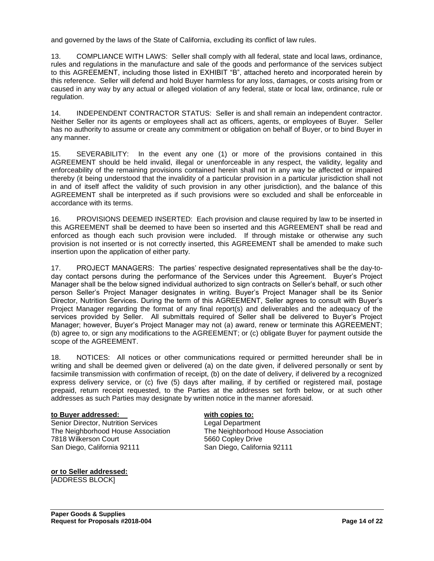and governed by the laws of the State of California, excluding its conflict of law rules.

13. COMPLIANCE WITH LAWS: Seller shall comply with all federal, state and local laws, ordinance, rules and regulations in the manufacture and sale of the goods and performance of the services subject to this AGREEMENT, including those listed in EXHIBIT "B", attached hereto and incorporated herein by this reference. Seller will defend and hold Buyer harmless for any loss, damages, or costs arising from or caused in any way by any actual or alleged violation of any federal, state or local law, ordinance, rule or regulation.

14. INDEPENDENT CONTRACTOR STATUS: Seller is and shall remain an independent contractor. Neither Seller nor its agents or employees shall act as officers, agents, or employees of Buyer. Seller has no authority to assume or create any commitment or obligation on behalf of Buyer, or to bind Buyer in any manner.

15. SEVERABILITY: In the event any one (1) or more of the provisions contained in this AGREEMENT should be held invalid, illegal or unenforceable in any respect, the validity, legality and enforceability of the remaining provisions contained herein shall not in any way be affected or impaired thereby (it being understood that the invalidity of a particular provision in a particular jurisdiction shall not in and of itself affect the validity of such provision in any other jurisdiction), and the balance of this AGREEMENT shall be interpreted as if such provisions were so excluded and shall be enforceable in accordance with its terms.

16. PROVISIONS DEEMED INSERTED: Each provision and clause required by law to be inserted in this AGREEMENT shall be deemed to have been so inserted and this AGREEMENT shall be read and enforced as though each such provision were included. If through mistake or otherwise any such provision is not inserted or is not correctly inserted, this AGREEMENT shall be amended to make such insertion upon the application of either party.

17. PROJECT MANAGERS: The parties' respective designated representatives shall be the day-today contact persons during the performance of the Services under this Agreement. Buyer's Project Manager shall be the below signed individual authorized to sign contracts on Seller's behalf, or such other person Seller's Project Manager designates in writing. Buyer's Project Manager shall be its Senior Director, Nutrition Services. During the term of this AGREEMENT, Seller agrees to consult with Buyer's Project Manager regarding the format of any final report(s) and deliverables and the adequacy of the services provided by Seller. All submittals required of Seller shall be delivered to Buyer's Project Manager; however, Buyer's Project Manager may not (a) award, renew or terminate this AGREEMENT; (b) agree to, or sign any modifications to the AGREEMENT; or (c) obligate Buyer for payment outside the scope of the AGREEMENT.

18. NOTICES: All notices or other communications required or permitted hereunder shall be in writing and shall be deemed given or delivered (a) on the date given, if delivered personally or sent by facsimile transmission with confirmation of receipt, (b) on the date of delivery, if delivered by a recognized express delivery service, or (c) five (5) days after mailing, if by certified or registered mail, postage prepaid, return receipt requested, to the Parties at the addresses set forth below, or at such other addresses as such Parties may designate by written notice in the manner aforesaid.

#### **to Buyer addressed: with copies to:**

Senior Director, Nutrition Services Legal Department The Neighborhood House Association The Neighborhood House Association 7818 Wilkerson Court 5660 Copley Drive San Diego, California 92111 San Diego, California 92111

**or to Seller addressed:** [ADDRESS BLOCK]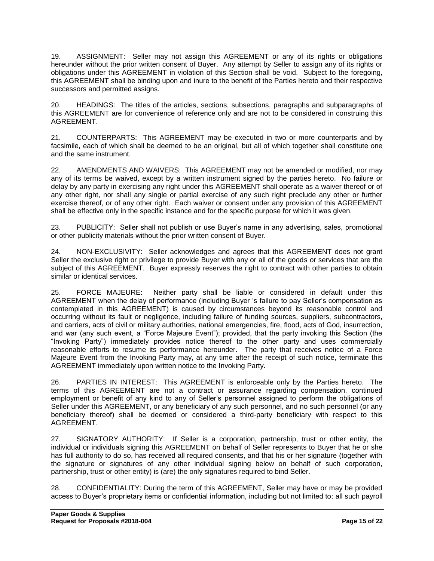19. ASSIGNMENT: Seller may not assign this AGREEMENT or any of its rights or obligations hereunder without the prior written consent of Buyer. Any attempt by Seller to assign any of its rights or obligations under this AGREEMENT in violation of this Section shall be void. Subject to the foregoing, this AGREEMENT shall be binding upon and inure to the benefit of the Parties hereto and their respective successors and permitted assigns.

20. HEADINGS: The titles of the articles, sections, subsections, paragraphs and subparagraphs of this AGREEMENT are for convenience of reference only and are not to be considered in construing this AGREEMENT.

21. COUNTERPARTS: This AGREEMENT may be executed in two or more counterparts and by facsimile, each of which shall be deemed to be an original, but all of which together shall constitute one and the same instrument.

22. AMENDMENTS AND WAIVERS: This AGREEMENT may not be amended or modified, nor may any of its terms be waived, except by a written instrument signed by the parties hereto. No failure or delay by any party in exercising any right under this AGREEMENT shall operate as a waiver thereof or of any other right, nor shall any single or partial exercise of any such right preclude any other or further exercise thereof, or of any other right. Each waiver or consent under any provision of this AGREEMENT shall be effective only in the specific instance and for the specific purpose for which it was given.

23. PUBLICITY: Seller shall not publish or use Buyer's name in any advertising, sales, promotional or other publicity materials without the prior written consent of Buyer.

24. NON-EXCLUSIVITY: Seller acknowledges and agrees that this AGREEMENT does not grant Seller the exclusive right or privilege to provide Buyer with any or all of the goods or services that are the subject of this AGREEMENT. Buyer expressly reserves the right to contract with other parties to obtain similar or identical services.

25. FORCE MAJEURE: Neither party shall be liable or considered in default under this AGREEMENT when the delay of performance (including Buyer 's failure to pay Seller's compensation as contemplated in this AGREEMENT) is caused by circumstances beyond its reasonable control and occurring without its fault or negligence, including failure of funding sources, suppliers, subcontractors, and carriers, acts of civil or military authorities, national emergencies, fire, flood, acts of God, insurrection, and war (any such event, a "Force Majeure Event"); provided, that the party invoking this Section (the "Invoking Party") immediately provides notice thereof to the other party and uses commercially reasonable efforts to resume its performance hereunder. The party that receives notice of a Force Majeure Event from the Invoking Party may, at any time after the receipt of such notice, terminate this AGREEMENT immediately upon written notice to the Invoking Party.

26. PARTIES IN INTEREST: This AGREEMENT is enforceable only by the Parties hereto. The terms of this AGREEMENT are not a contract or assurance regarding compensation, continued employment or benefit of any kind to any of Seller's personnel assigned to perform the obligations of Seller under this AGREEMENT, or any beneficiary of any such personnel, and no such personnel (or any beneficiary thereof) shall be deemed or considered a third-party beneficiary with respect to this AGREEMENT.

27. SIGNATORY AUTHORITY: If Seller is a corporation, partnership, trust or other entity, the individual or individuals signing this AGREEMENT on behalf of Seller represents to Buyer that he or she has full authority to do so, has received all required consents, and that his or her signature (together with the signature or signatures of any other individual signing below on behalf of such corporation, partnership, trust or other entity) is (are) the only signatures required to bind Seller.

28. CONFIDENTIALITY: During the term of this AGREEMENT, Seller may have or may be provided access to Buyer's proprietary items or confidential information, including but not limited to: all such payroll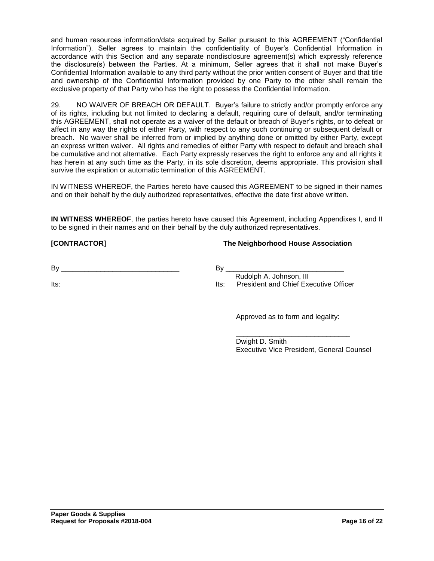and human resources information/data acquired by Seller pursuant to this AGREEMENT ("Confidential Information"). Seller agrees to maintain the confidentiality of Buyer's Confidential Information in accordance with this Section and any separate nondisclosure agreement(s) which expressly reference the disclosure(s) between the Parties. At a minimum, Seller agrees that it shall not make Buyer's Confidential Information available to any third party without the prior written consent of Buyer and that title and ownership of the Confidential Information provided by one Party to the other shall remain the exclusive property of that Party who has the right to possess the Confidential Information.

29. NO WAIVER OF BREACH OR DEFAULT. Buyer's failure to strictly and/or promptly enforce any of its rights, including but not limited to declaring a default, requiring cure of default, and/or terminating this AGREEMENT, shall not operate as a waiver of the default or breach of Buyer's rights, or to defeat or affect in any way the rights of either Party, with respect to any such continuing or subsequent default or breach. No waiver shall be inferred from or implied by anything done or omitted by either Party, except an express written waiver. All rights and remedies of either Party with respect to default and breach shall be cumulative and not alternative. Each Party expressly reserves the right to enforce any and all rights it has herein at any such time as the Party, in its sole discretion, deems appropriate. This provision shall survive the expiration or automatic termination of this AGREEMENT.

IN WITNESS WHEREOF, the Parties hereto have caused this AGREEMENT to be signed in their names and on their behalf by the duly authorized representatives, effective the date first above written.

**IN WITNESS WHEREOF**, the parties hereto have caused this Agreement, including Appendixes I, and II to be signed in their names and on their behalf by the duly authorized representatives.

#### **[CONTRACTOR] The Neighborhood House Association**

 $By \_\_$ 

Its:

 $By_$ 

 Rudolph A. Johnson, III Its: President and Chief Executive Officer

Approved as to form and legality:

\_\_\_\_\_\_\_\_\_\_\_\_\_\_\_\_\_\_\_\_\_\_\_\_\_\_\_\_\_

Dwight D. Smith Executive Vice President, General Counsel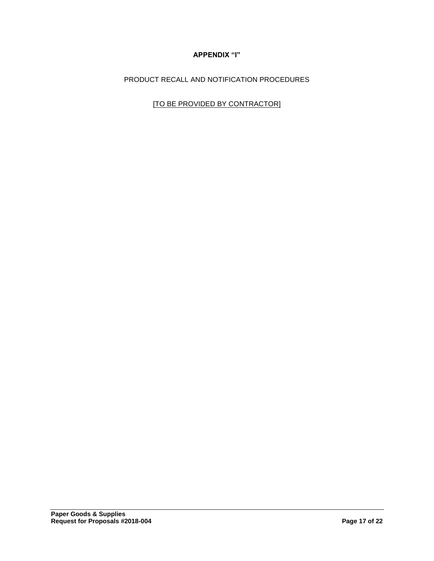# **APPENDIX "I"**

PRODUCT RECALL AND NOTIFICATION PROCEDURES

[TO BE PROVIDED BY CONTRACTOR]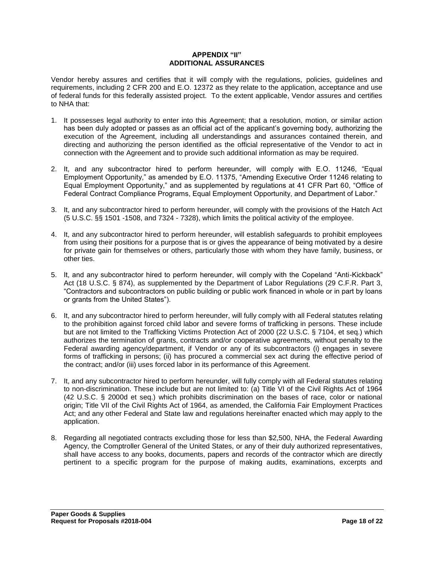#### **APPENDIX "II" ADDITIONAL ASSURANCES**

Vendor hereby assures and certifies that it will comply with the regulations, policies, guidelines and requirements, including 2 CFR 200 and E.O. 12372 as they relate to the application, acceptance and use of federal funds for this federally assisted project. To the extent applicable, Vendor assures and certifies to NHA that:

- 1. It possesses legal authority to enter into this Agreement; that a resolution, motion, or similar action has been duly adopted or passes as an official act of the applicant's governing body, authorizing the execution of the Agreement, including all understandings and assurances contained therein, and directing and authorizing the person identified as the official representative of the Vendor to act in connection with the Agreement and to provide such additional information as may be required.
- 2. It, and any subcontractor hired to perform hereunder, will comply with E.O. 11246, "Equal Employment Opportunity," as amended by E.O. 11375, "Amending Executive Order 11246 relating to Equal Employment Opportunity," and as supplemented by regulations at 41 CFR Part 60, "Office of Federal Contract Compliance Programs, Equal Employment Opportunity, and Department of Labor."
- 3. It, and any subcontractor hired to perform hereunder, will comply with the provisions of the Hatch Act (5 U.S.C. §§ 1501 -1508, and 7324 - 7328), which limits the political activity of the employee.
- 4. It, and any subcontractor hired to perform hereunder, will establish safeguards to prohibit employees from using their positions for a purpose that is or gives the appearance of being motivated by a desire for private gain for themselves or others, particularly those with whom they have family, business, or other ties.
- 5. It, and any subcontractor hired to perform hereunder, will comply with the Copeland "Anti-Kickback" Act (18 U.S.C. § 874), as supplemented by the Department of Labor Regulations (29 C.F.R. Part 3, "Contractors and subcontractors on public building or public work financed in whole or in part by loans or grants from the United States").
- 6. It, and any subcontractor hired to perform hereunder, will fully comply with all Federal statutes relating to the prohibition against forced child labor and severe forms of trafficking in persons. These include but are not limited to the Trafficking Victims Protection Act of 2000 (22 U.S.C. § 7104, et seq.) which authorizes the termination of grants, contracts and/or cooperative agreements, without penalty to the Federal awarding agency/department, if Vendor or any of its subcontractors (i) engages in severe forms of trafficking in persons; (ii) has procured a commercial sex act during the effective period of the contract; and/or (iii) uses forced labor in its performance of this Agreement.
- 7. It, and any subcontractor hired to perform hereunder, will fully comply with all Federal statutes relating to non-discrimination. These include but are not limited to: (a) Title VI of the Civil Rights Act of 1964 (42 U.S.C. § 2000d et seq.) which prohibits discrimination on the bases of race, color or national origin; Title VII of the Civil Rights Act of 1964, as amended, the California Fair Employment Practices Act; and any other Federal and State law and regulations hereinafter enacted which may apply to the application.
- 8. Regarding all negotiated contracts excluding those for less than \$2,500, NHA, the Federal Awarding Agency, the Comptroller General of the United States, or any of their duly authorized representatives, shall have access to any books, documents, papers and records of the contractor which are directly pertinent to a specific program for the purpose of making audits, examinations, excerpts and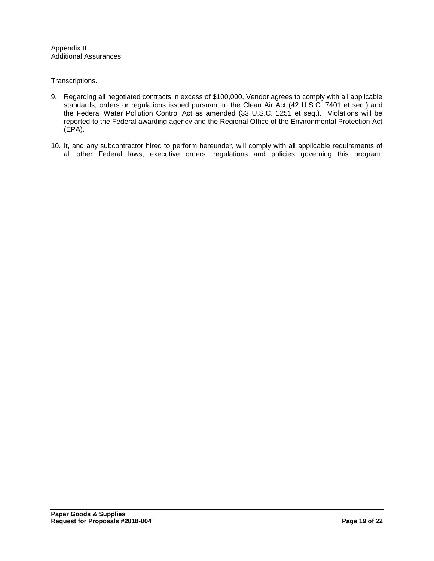Appendix II Additional Assurances

Transcriptions.

- 9. Regarding all negotiated contracts in excess of \$100,000, Vendor agrees to comply with all applicable standards, orders or regulations issued pursuant to the Clean Air Act (42 U.S.C. 7401 et seq.) and the Federal Water Pollution Control Act as amended (33 U.S.C. 1251 et seq.). Violations will be reported to the Federal awarding agency and the Regional Office of the Environmental Protection Act (EPA).
- 10. It, and any subcontractor hired to perform hereunder, will comply with all applicable requirements of all other Federal laws, executive orders, regulations and policies governing this program.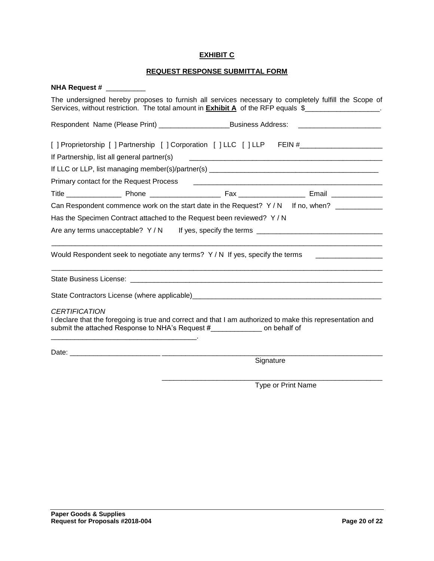#### **EXHIBIT C**

# **REQUEST RESPONSE SUBMITTAL FORM**

| <b>NHA Request #</b>                                                                                                                                                                                                                                                                                             |
|------------------------------------------------------------------------------------------------------------------------------------------------------------------------------------------------------------------------------------------------------------------------------------------------------------------|
| The undersigned hereby proposes to furnish all services necessary to completely fulfill the Scope of<br>Services, without restriction. The total amount in <b>Exhibit A</b> of the RFP equals \$                                                                                                                 |
| Respondent Name (Please Print) _________________________Business Address:<br><u> 1980 - Jan Barbarat, martin da kasas dan bagi dan bagi dari bagi dan bagi dari bagi dan bagi dari bagi dan b</u>                                                                                                                |
| [ ] Proprietorship [ ] Partnership [ ] Corporation [ ] LLC [ ] LLP FEIN #__________________________                                                                                                                                                                                                              |
| If Partnership, list all general partner(s)                                                                                                                                                                                                                                                                      |
|                                                                                                                                                                                                                                                                                                                  |
| Primary contact for the Request Process<br><u> 1989 - Johann John Stein, mars an deutscher Stein und der Stein und der Stein und der Stein und der Stein und</u>                                                                                                                                                 |
|                                                                                                                                                                                                                                                                                                                  |
| Can Respondent commence work on the start date in the Request? Y/N If no, when?                                                                                                                                                                                                                                  |
| Has the Specimen Contract attached to the Request been reviewed? Y / N                                                                                                                                                                                                                                           |
| Are any terms unacceptable? $Y/N$ If yes, specify the terms                                                                                                                                                                                                                                                      |
| Would Respondent seek to negotiate any terms? Y/N If yes, specify the terms                                                                                                                                                                                                                                      |
|                                                                                                                                                                                                                                                                                                                  |
|                                                                                                                                                                                                                                                                                                                  |
| <b>CERTIFICATION</b>                                                                                                                                                                                                                                                                                             |
| I declare that the foregoing is true and correct and that I am authorized to make this representation and<br>submit the attached Response to NHA's Request # ______________ on behalf of<br><u> 1980 - Jan James James Barnett, amerikan bizko bat da bat da bat da bat da bat da bat da bat da bat da bat d</u> |
|                                                                                                                                                                                                                                                                                                                  |
| Signature                                                                                                                                                                                                                                                                                                        |

Type or Print Name

\_\_\_\_\_\_\_\_\_\_\_\_\_\_\_\_\_\_\_\_\_\_\_\_\_\_\_\_\_\_\_\_\_\_\_\_\_\_\_\_\_\_\_\_\_\_\_\_\_\_\_\_\_\_\_\_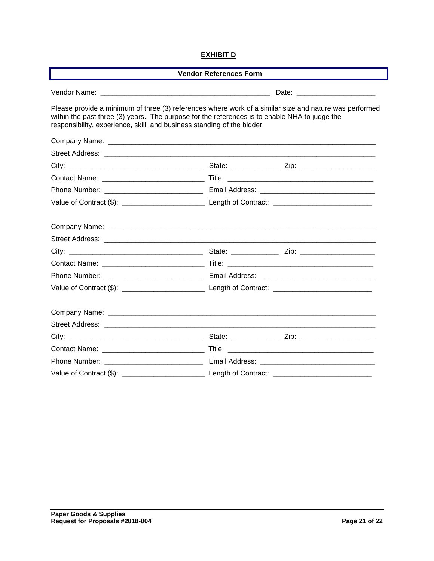#### **EXHIBIT D**

| <b>Vendor References Form</b>                                                                                                                                            |                                                                                                        |  |  |
|--------------------------------------------------------------------------------------------------------------------------------------------------------------------------|--------------------------------------------------------------------------------------------------------|--|--|
|                                                                                                                                                                          |                                                                                                        |  |  |
| within the past three (3) years. The purpose for the references is to enable NHA to judge the<br>responsibility, experience, skill, and business standing of the bidder. | Please provide a minimum of three (3) references where work of a similar size and nature was performed |  |  |
|                                                                                                                                                                          |                                                                                                        |  |  |
|                                                                                                                                                                          |                                                                                                        |  |  |
|                                                                                                                                                                          |                                                                                                        |  |  |
|                                                                                                                                                                          |                                                                                                        |  |  |
|                                                                                                                                                                          |                                                                                                        |  |  |
|                                                                                                                                                                          |                                                                                                        |  |  |
|                                                                                                                                                                          |                                                                                                        |  |  |
|                                                                                                                                                                          |                                                                                                        |  |  |
|                                                                                                                                                                          |                                                                                                        |  |  |
|                                                                                                                                                                          |                                                                                                        |  |  |
|                                                                                                                                                                          |                                                                                                        |  |  |
|                                                                                                                                                                          |                                                                                                        |  |  |
|                                                                                                                                                                          |                                                                                                        |  |  |
|                                                                                                                                                                          |                                                                                                        |  |  |
|                                                                                                                                                                          |                                                                                                        |  |  |
|                                                                                                                                                                          |                                                                                                        |  |  |
|                                                                                                                                                                          |                                                                                                        |  |  |
|                                                                                                                                                                          |                                                                                                        |  |  |
|                                                                                                                                                                          |                                                                                                        |  |  |
|                                                                                                                                                                          |                                                                                                        |  |  |